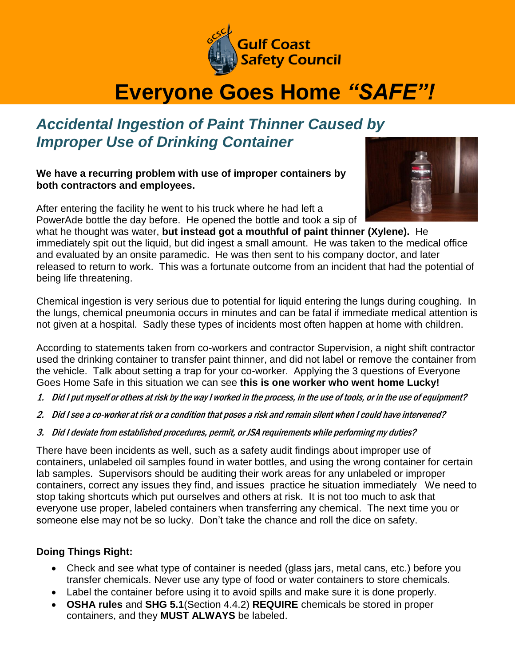

## **Everyone Goes Home** *"SAFE"!*

## *Accidental Ingestion of Paint Thinner Caused by Improper Use of Drinking Container*

**We have a recurring problem with use of improper containers by both contractors and employees.** 

After entering the facility he went to his truck where he had left a PowerAde bottle the day before. He opened the bottle and took a sip of



what he thought was water, **but instead got a mouthful of paint thinner (Xylene).** He immediately spit out the liquid, but did ingest a small amount. He was taken to the medical office and evaluated by an onsite paramedic. He was then sent to his company doctor, and later released to return to work. This was a fortunate outcome from an incident that had the potential of being life threatening.

Chemical ingestion is very serious due to potential for liquid entering the lungs during coughing. In the lungs, chemical pneumonia occurs in minutes and can be fatal if immediate medical attention is not given at a hospital. Sadly these types of incidents most often happen at home with children.

According to statements taken from co-workers and contractor Supervision, a night shift contractor used the drinking container to transfer paint thinner, and did not label or remove the container from the vehicle. Talk about setting a trap for your co-worker. Applying the 3 questions of Everyone Goes Home Safe in this situation we can see **this is one worker who went home Lucky!**

- 1. Did I put myself or others at risk by the way I worked in the process, in the use of tools, or in the use of equipment?
- 2. Did I see a co-worker at risk or a condition that poses a risk and remain silent when I could have intervened?
- 3. Did I deviate from established procedures, permit, or JSA requirements while performing my duties?

There have been incidents as well, such as a safety audit findings about improper use of containers, unlabeled oil samples found in water bottles, and using the wrong container for certain lab samples. Supervisors should be auditing their work areas for any unlabeled or improper containers, correct any issues they find, and issues practice he situation immediately We need to stop taking shortcuts which put ourselves and others at risk. It is not too much to ask that everyone use proper, labeled containers when transferring any chemical. The next time you or someone else may not be so lucky. Don't take the chance and roll the dice on safety.

## **Doing Things Right:**

- Check and see what type of container is needed (glass jars, metal cans, etc.) before you transfer chemicals. Never use any type of food or water containers to store chemicals.
- Label the container before using it to avoid spills and make sure it is done properly.
- **OSHA rules** and **SHG 5.1**(Section 4.4.2) **REQUIRE** chemicals be stored in proper containers, and they **MUST ALWAYS** be labeled.